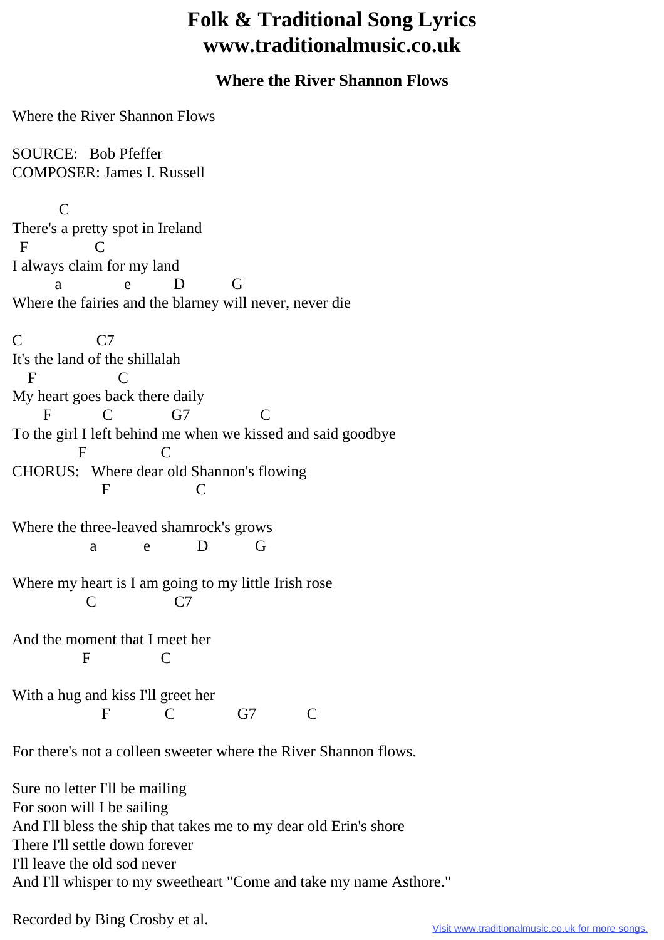## **Folk & Traditional Song Lyrics www.traditionalmusic.co.uk**

## **Where the River Shannon Flows**

Where the River Shannon Flows

SOURCE: Bob Pfeffer COMPOSER: James I. Russell

 C There's a pretty spot in Ireland F C I always claim for my land a e D G Where the fairies and the blarney will never, never die C<sub>C7</sub> It's the land of the shillalah F C My heart goes back there daily F C G7 C To the girl I left behind me when we kissed and said goodbye F C CHORUS: Where dear old Shannon's flowing F C Where the three-leaved shamrock's grows a e D G Where my heart is I am going to my little Irish rose C C7 And the moment that I meet her F C With a hug and kiss I'll greet her F C G7 C

For there's not a colleen sweeter where the River Shannon flows.

Sure no letter I'll be mailing For soon will I be sailing And I'll bless the ship that takes me to my dear old Erin's shore There I'll settle down forever I'll leave the old sod never And I'll whisper to my sweetheart "Come and take my name Asthore."

Recorded by Bing Crosby et al.